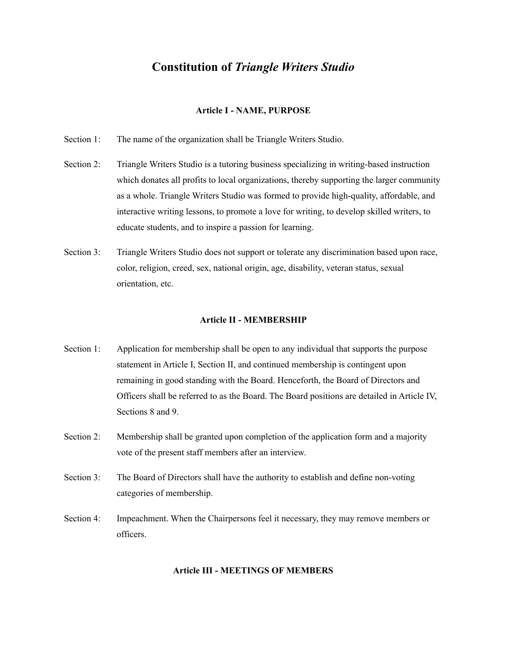# **Constitution of** *Triangle Writers Studio*

#### **Article I - NAME, PURPOSE**

- Section 1: The name of the organization shall be Triangle Writers Studio.
- Section 2: Triangle Writers Studio is a tutoring business specializing in writing-based instruction which donates all profits to local organizations, thereby supporting the larger community as a whole. Triangle Writers Studio was formed to provide high-quality, affordable, and interactive writing lessons, to promote a love for writing, to develop skilled writers, to educate students, and to inspire a passion for learning.
- Section 3: Triangle Writers Studio does not support or tolerate any discrimination based upon race, color, religion, creed, sex, national origin, age, disability, veteran status, sexual orientation, etc.

#### **Article II - MEMBERSHIP**

- Section 1: Application for membership shall be open to any individual that supports the purpose statement in Article I, Section II, and continued membership is contingent upon remaining in good standing with the Board. Henceforth, the Board of Directors and Officers shall be referred to as the Board. The Board positions are detailed in Article IV, Sections 8 and 9.
- Section 2: Membership shall be granted upon completion of the application form and a majority vote of the present staff members after an interview.
- Section 3: The Board of Directors shall have the authority to establish and define non-voting categories of membership.
- Section 4: Impeachment. When the Chairpersons feel it necessary, they may remove members or officers.

#### **Article III - MEETINGS OF MEMBERS**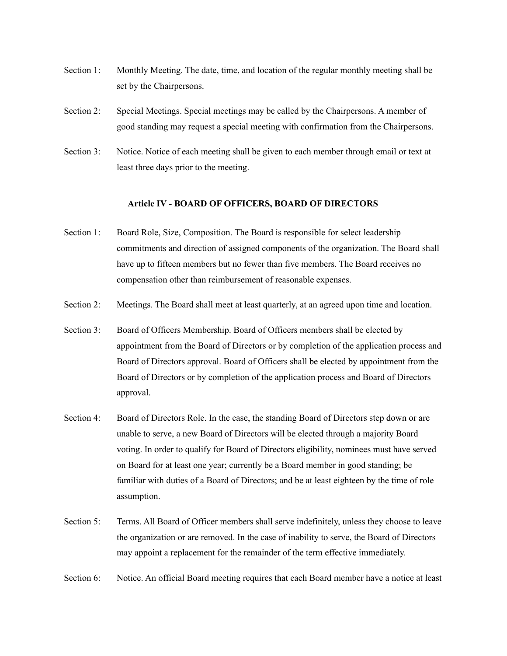- Section 1: Monthly Meeting. The date, time, and location of the regular monthly meeting shall be set by the Chairpersons.
- Section 2: Special Meetings. Special meetings may be called by the Chairpersons. A member of good standing may request a special meeting with confirmation from the Chairpersons.
- Section 3: Notice. Notice of each meeting shall be given to each member through email or text at least three days prior to the meeting.

#### **Article IV - BOARD OF OFFICERS, BOARD OF DIRECTORS**

- Section 1: Board Role, Size, Composition. The Board is responsible for select leadership commitments and direction of assigned components of the organization. The Board shall have up to fifteen members but no fewer than five members. The Board receives no compensation other than reimbursement of reasonable expenses.
- Section 2: Meetings. The Board shall meet at least quarterly, at an agreed upon time and location.
- Section 3: Board of Officers Membership. Board of Officers members shall be elected by appointment from the Board of Directors or by completion of the application process and Board of Directors approval. Board of Officers shall be elected by appointment from the Board of Directors or by completion of the application process and Board of Directors approval.
- Section 4: Board of Directors Role. In the case, the standing Board of Directors step down or are unable to serve, a new Board of Directors will be elected through a majority Board voting. In order to qualify for Board of Directors eligibility, nominees must have served on Board for at least one year; currently be a Board member in good standing; be familiar with duties of a Board of Directors; and be at least eighteen by the time of role assumption.
- Section 5: Terms. All Board of Officer members shall serve indefinitely, unless they choose to leave the organization or are removed. In the case of inability to serve, the Board of Directors may appoint a replacement for the remainder of the term effective immediately.
- Section 6: Notice. An official Board meeting requires that each Board member have a notice at least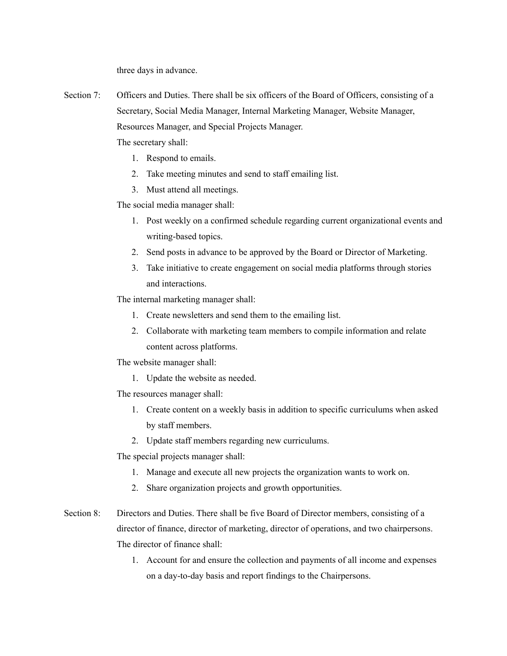three days in advance.

Section 7: Officers and Duties. There shall be six officers of the Board of Officers, consisting of a Secretary, Social Media Manager, Internal Marketing Manager, Website Manager, Resources Manager, and Special Projects Manager.

The secretary shall:

- 1. Respond to emails.
- 2. Take meeting minutes and send to staff emailing list.
- 3. Must attend all meetings.

The social media manager shall:

- 1. Post weekly on a confirmed schedule regarding current organizational events and writing-based topics.
- 2. Send posts in advance to be approved by the Board or Director of Marketing.
- 3. Take initiative to create engagement on social media platforms through stories and interactions.

The internal marketing manager shall:

- 1. Create newsletters and send them to the emailing list.
- 2. Collaborate with marketing team members to compile information and relate content across platforms.

The website manager shall:

1. Update the website as needed.

The resources manager shall:

- 1. Create content on a weekly basis in addition to specific curriculums when asked by staff members.
- 2. Update staff members regarding new curriculums.

The special projects manager shall:

- 1. Manage and execute all new projects the organization wants to work on.
- 2. Share organization projects and growth opportunities.
- Section 8: Directors and Duties. There shall be five Board of Director members, consisting of a director of finance, director of marketing, director of operations, and two chairpersons. The director of finance shall:
	- 1. Account for and ensure the collection and payments of all income and expenses on a day-to-day basis and report findings to the Chairpersons.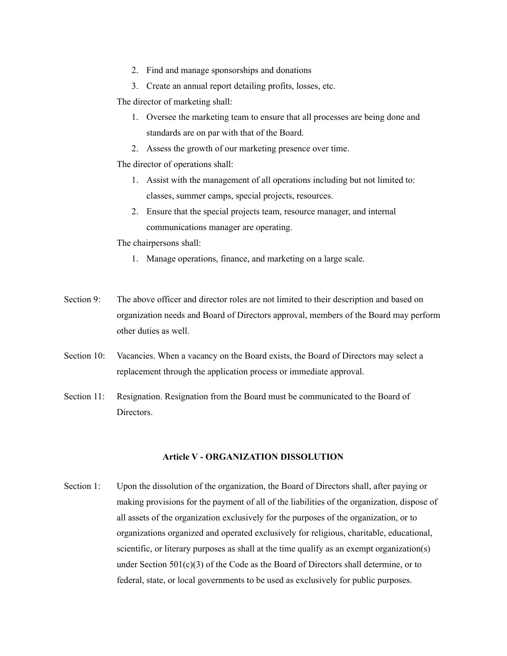- 2. Find and manage sponsorships and donations
- 3. Create an annual report detailing profits, losses, etc.

The director of marketing shall:

- 1. Oversee the marketing team to ensure that all processes are being done and standards are on par with that of the Board.
- 2. Assess the growth of our marketing presence over time.

The director of operations shall:

- 1. Assist with the management of all operations including but not limited to: classes, summer camps, special projects, resources.
- 2. Ensure that the special projects team, resource manager, and internal communications manager are operating.

The chairpersons shall:

- 1. Manage operations, finance, and marketing on a large scale.
- Section 9: The above officer and director roles are not limited to their description and based on organization needs and Board of Directors approval, members of the Board may perform other duties as well.
- Section 10: Vacancies. When a vacancy on the Board exists, the Board of Directors may select a replacement through the application process or immediate approval.
- Section 11: Resignation. Resignation from the Board must be communicated to the Board of Directors.

### **Article V - ORGANIZATION DISSOLUTION**

Section 1: Upon the dissolution of the organization, the Board of Directors shall, after paying or making provisions for the payment of all of the liabilities of the organization, dispose of all assets of the organization exclusively for the purposes of the organization, or to organizations organized and operated exclusively for religious, charitable, educational, scientific, or literary purposes as shall at the time qualify as an exempt organization(s) under Section  $501(c)(3)$  of the Code as the Board of Directors shall determine, or to federal, state, or local governments to be used as exclusively for public purposes.